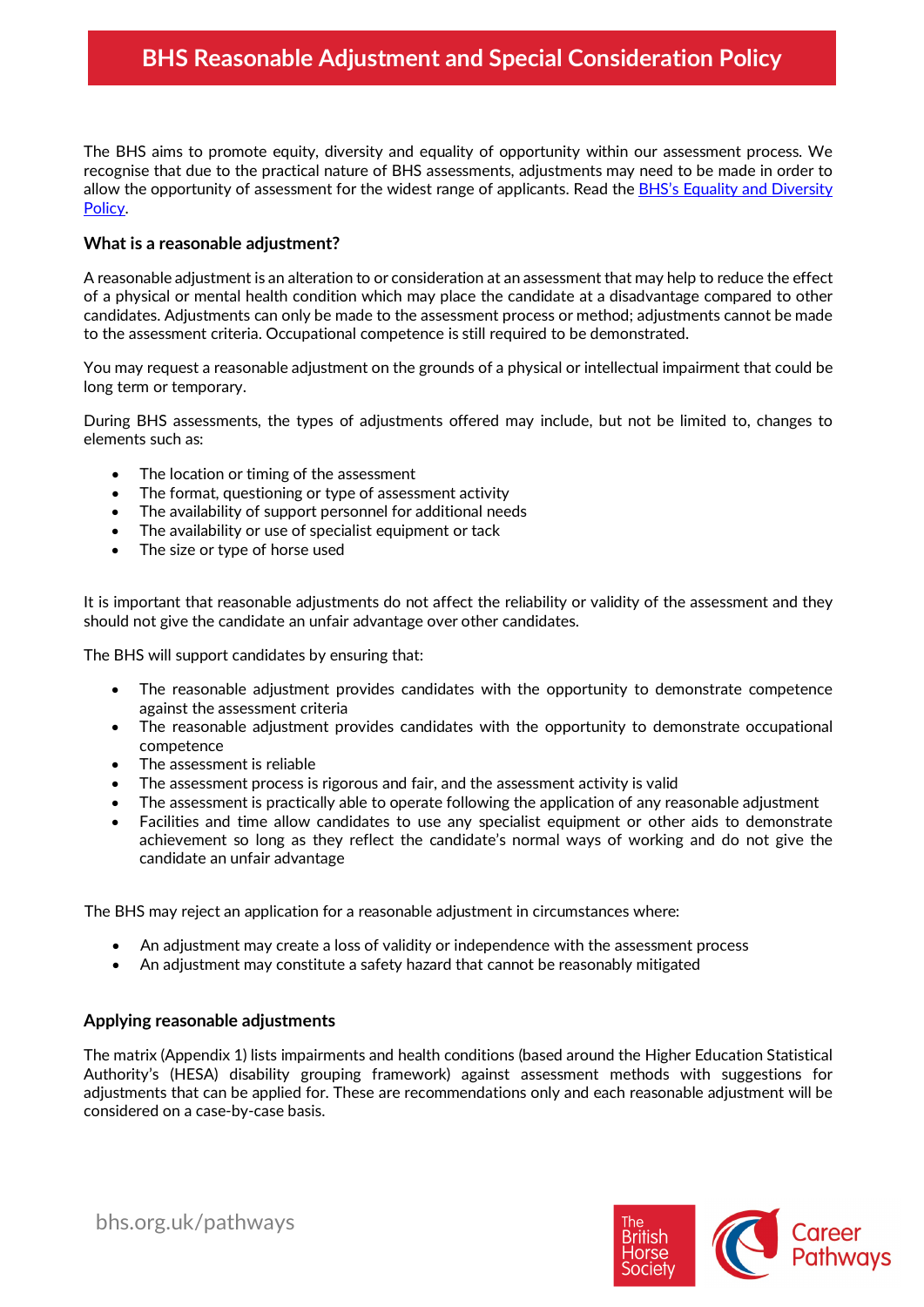# **BHS Reasonable Adjustment and Special Consideration Policy**

The BHS aims to promote equity, diversity and equality of opportunity within our assessment process. We recognise that due to the practical nature of BHS assessments, adjustments may need to be made in order to allow the opportunity of assessment for the widest range of applicants. Read th[e BHS's Equality and Diversity](https://www.bhs.org.uk/our-charity/corporate-information/working-with-the-law/equality)  [Policy.](https://www.bhs.org.uk/our-charity/corporate-information/working-with-the-law/equality)

### **What is a reasonable adjustment?**

A reasonable adjustment is an alteration to or consideration at an assessment that may help to reduce the effect of a physical or mental health condition which may place the candidate at a disadvantage compared to other candidates. Adjustments can only be made to the assessment process or method; adjustments cannot be made to the assessment criteria. Occupational competence is still required to be demonstrated.

You may request a reasonable adjustment on the grounds of a physical or intellectual impairment that could be long term or temporary.

During BHS assessments, the types of adjustments offered may include, but not be limited to, changes to elements such as:

- The location or timing of the assessment
- The format, questioning or type of assessment activity
- The availability of support personnel for additional needs
- The availability or use of specialist equipment or tack
- The size or type of horse used

It is important that reasonable adjustments do not affect the reliability or validity of the assessment and they should not give the candidate an unfair advantage over other candidates.

The BHS will support candidates by ensuring that:

- The reasonable adjustment provides candidates with the opportunity to demonstrate competence against the assessment criteria
- The reasonable adjustment provides candidates with the opportunity to demonstrate occupational competence
- The assessment is reliable
- The assessment process is rigorous and fair, and the assessment activity is valid
- The assessment is practically able to operate following the application of any reasonable adjustment
- Facilities and time allow candidates to use any specialist equipment or other aids to demonstrate achievement so long as they reflect the candidate's normal ways of working and do not give the candidate an unfair advantage

The BHS may reject an application for a reasonable adjustment in circumstances where:

- An adjustment may create a loss of validity or independence with the assessment process
- An adjustment may constitute a safety hazard that cannot be reasonably mitigated

#### **Applying reasonable adjustments**

The matrix (Appendix 1) lists impairments and health conditions (based around the Higher Education Statistical Authority's (HESA) disability grouping framework) against assessment methods with suggestions for adjustments that can be applied for. These are recommendations only and each reasonable adjustment will be considered on a case-by-case basis.



bhs.org.uk/pathways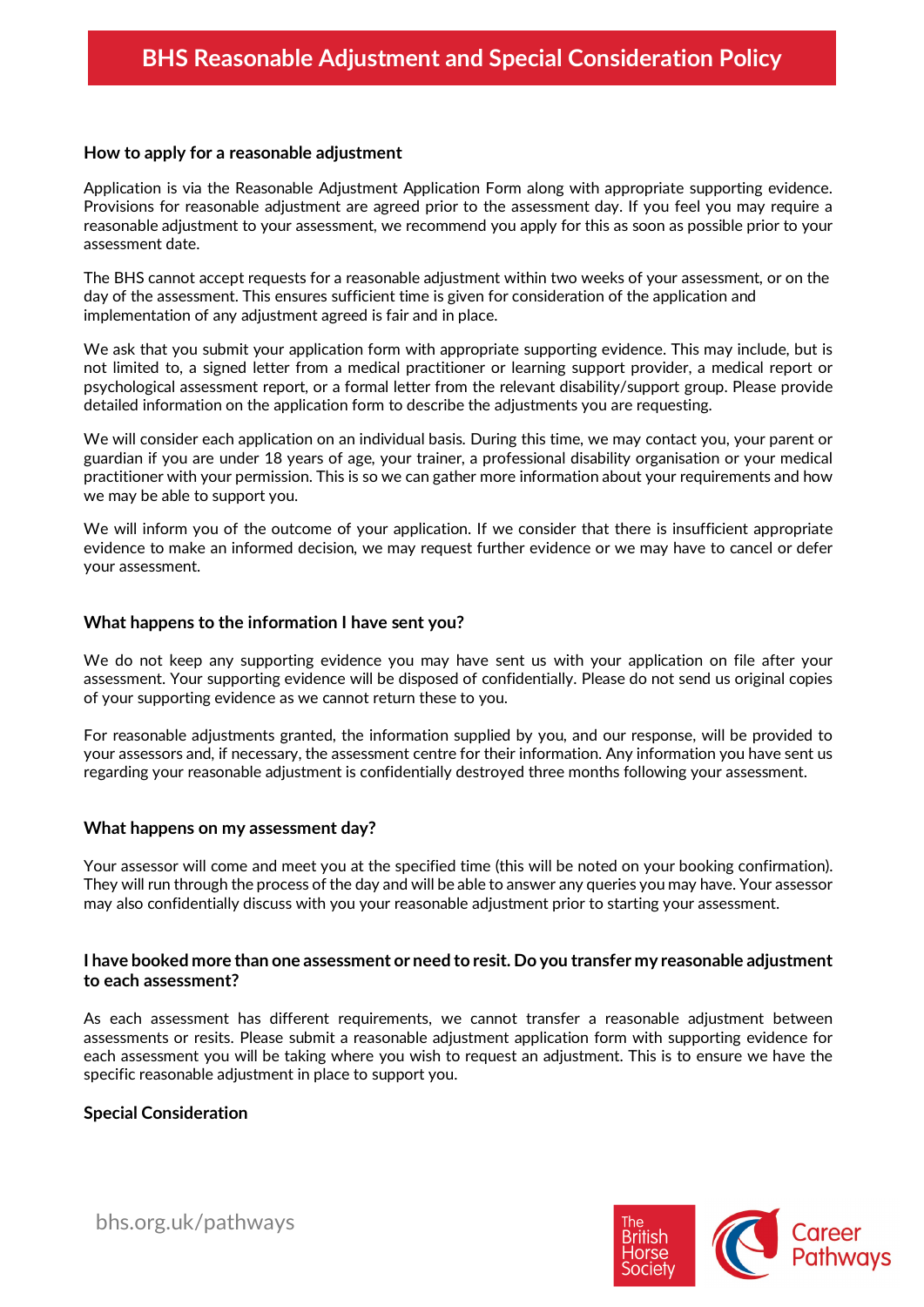### **How to apply for a reasonable adjustment**

Application is via the Reasonable Adjustment Application Form along with appropriate supporting evidence. Provisions for reasonable adjustment are agreed prior to the assessment day. If you feel you may require a reasonable adjustment to your assessment, we recommend you apply for this as soon as possible prior to your assessment date.

The BHS cannot accept requests for a reasonable adjustment within two weeks of your assessment, or on the day of the assessment. This ensures sufficient time is given for consideration of the application and implementation of any adjustment agreed is fair and in place.

We ask that you submit your application form with appropriate supporting evidence. This may include, but is not limited to, a signed letter from a medical practitioner or learning support provider, a medical report or psychological assessment report, or a formal letter from the relevant disability/support group. Please provide detailed information on the application form to describe the adjustments you are requesting.

We will consider each application on an individual basis. During this time, we may contact you, your parent or guardian if you are under 18 years of age, your trainer, a professional disability organisation or your medical practitioner with your permission. This is so we can gather more information about your requirements and how we may be able to support you.

We will inform you of the outcome of your application. If we consider that there is insufficient appropriate evidence to make an informed decision, we may request further evidence or we may have to cancel or defer your assessment.

#### **What happens to the information I have sent you?**

We do not keep any supporting evidence you may have sent us with your application on file after your assessment. Your supporting evidence will be disposed of confidentially. Please do not send us original copies of your supporting evidence as we cannot return these to you.

For reasonable adjustments granted, the information supplied by you, and our response, will be provided to your assessors and, if necessary, the assessment centre for their information. Any information you have sent us regarding your reasonable adjustment is confidentially destroyed three months following your assessment.

#### **What happens on my assessment day?**

Your assessor will come and meet you at the specified time (this will be noted on your booking confirmation). They will run through the process of the day and will be able to answer any queries you may have. Your assessor may also confidentially discuss with you your reasonable adjustment prior to starting your assessment.

### **I have booked more than one assessment or need to resit. Do you transfer my reasonable adjustment to each assessment?**

As each assessment has different requirements, we cannot transfer a reasonable adjustment between assessments or resits. Please submit a reasonable adjustment application form with supporting evidence for each assessment you will be taking where you wish to request an adjustment. This is to ensure we have the specific reasonable adjustment in place to support you.

## **Special Consideration**

bhs.org.uk/pathways

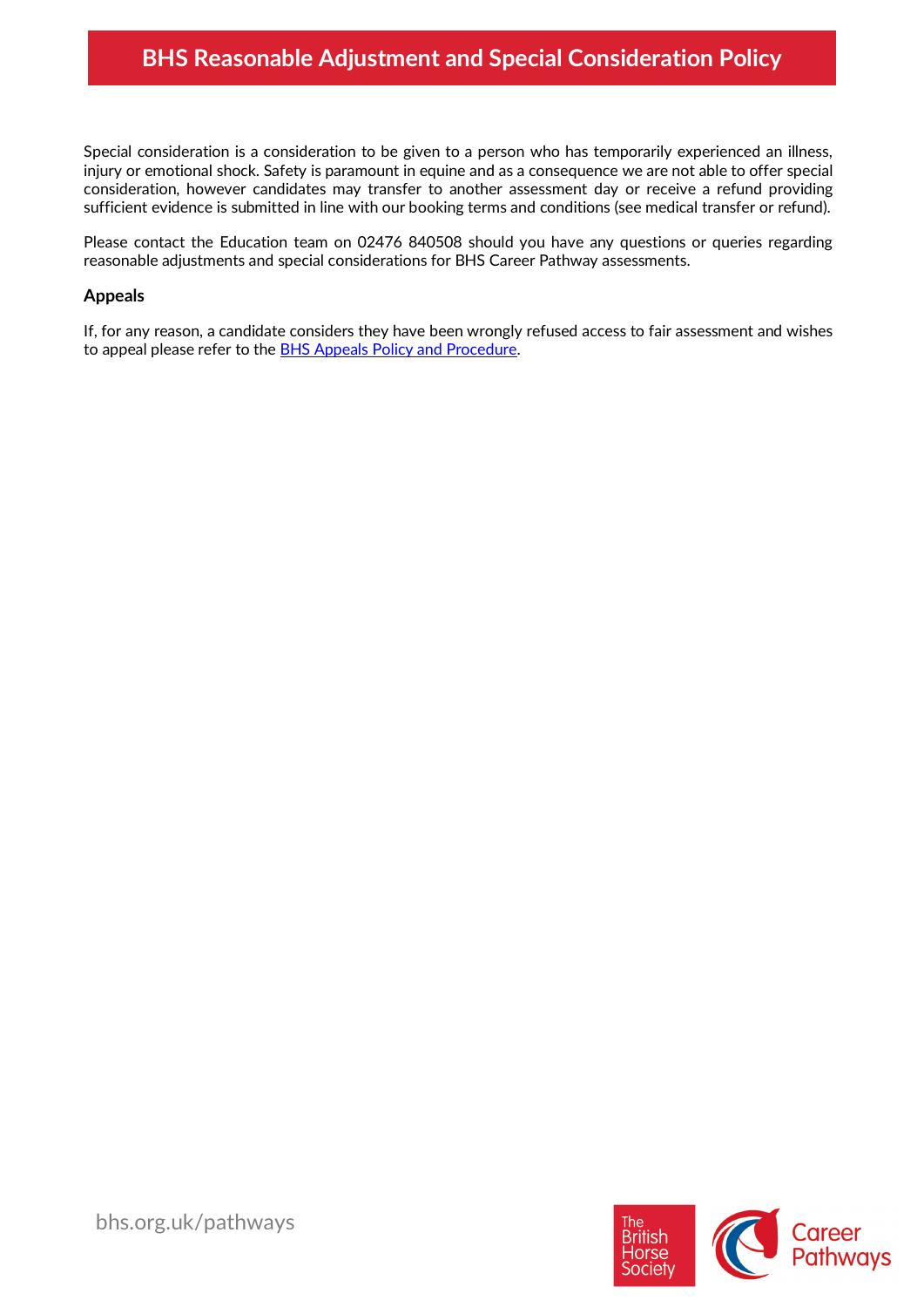Special consideration is a consideration to be given to a person who has temporarily experienced an illness, injury or emotional shock. Safety is paramount in equine and as a consequence we are not able to offer special consideration, however candidates may transfer to another assessment day or receive a refund providing sufficient evidence is submitted in line with our booking terms and conditions (see medical transfer or refund).

Please contact the Education team on 02476 840508 should you have any questions or queries regarding reasonable adjustments and special considerations for BHS Career Pathway assessments.

# **Appeals**

If, for any reason, a candidate considers they have been wrongly refused access to fair assessment and wishes to appeal please refer to the **BHS Appeals Policy and Procedure.** 

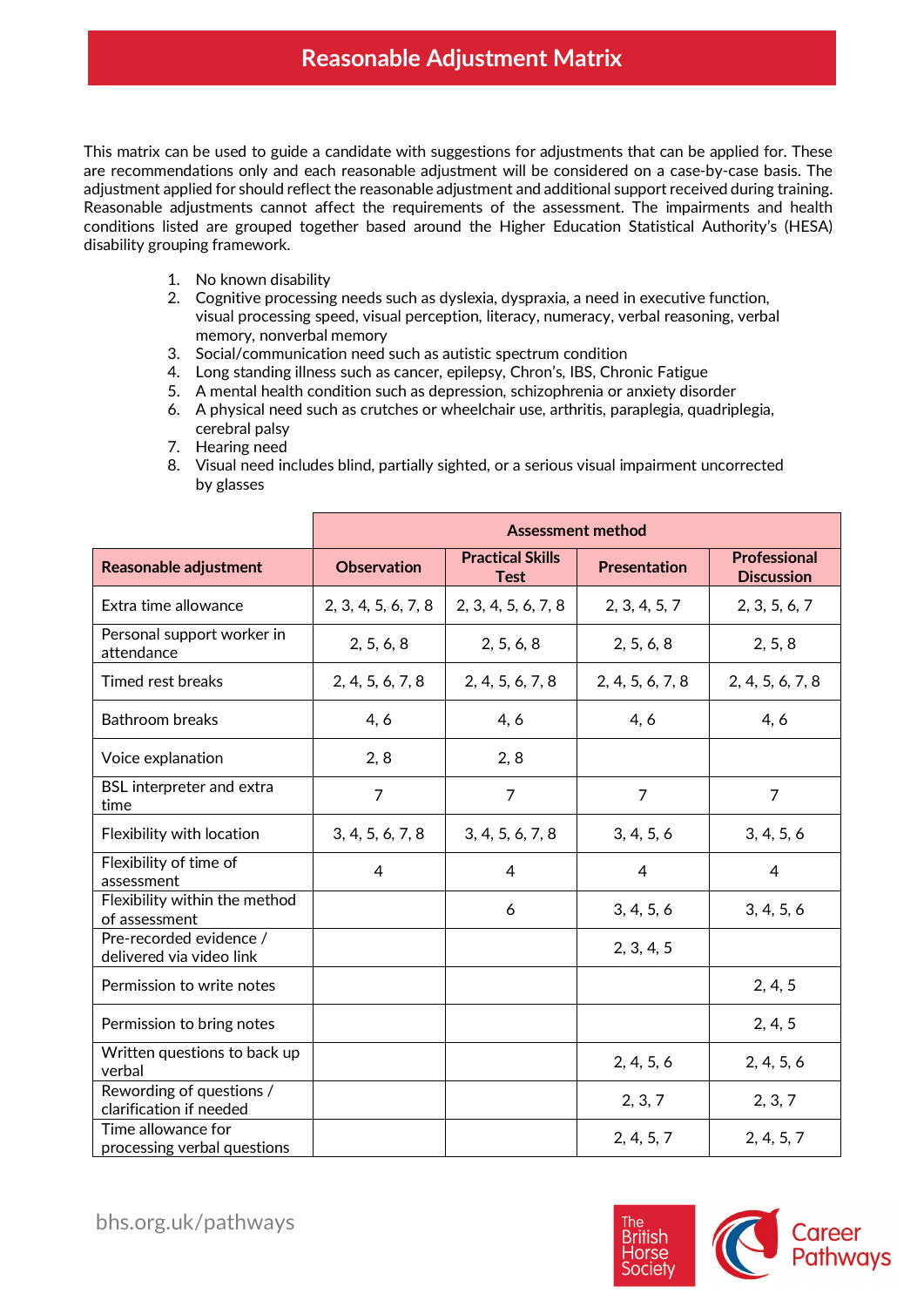This matrix can be used to guide a candidate with suggestions for adjustments that can be applied for. These are recommendations only and each reasonable adjustment will be considered on a case-by-case basis. The adjustment applied for should reflect the reasonable adjustment and additional support received during training. Reasonable adjustments cannot affect the requirements of the assessment. The impairments and health conditions listed are grouped together based around the Higher Education Statistical Authority's (HESA) disability grouping framework.

- 1. No known disability
- 2. Cognitive processing needs such as dyslexia, dyspraxia, a need in executive function, visual processing speed, visual perception, literacy, numeracy, verbal reasoning, verbal memory, nonverbal memory
- 3. Social/communication need such as autistic spectrum condition
- 4. Long standing illness such as cancer, epilepsy, Chron's, IBS, Chronic Fatigue
- 5. A mental health condition such as depression, schizophrenia or anxiety disorder
- 6. A physical need such as crutches or wheelchair use, arthritis, paraplegia, quadriplegia, cerebral palsy
- 7. Hearing need
- 8. Visual need includes blind, partially sighted, or a serious visual impairment uncorrected by glasses

|                                                     | <b>Assessment method</b> |                                        |                     |                                          |  |
|-----------------------------------------------------|--------------------------|----------------------------------------|---------------------|------------------------------------------|--|
| <b>Reasonable adjustment</b>                        | <b>Observation</b>       | <b>Practical Skills</b><br><b>Test</b> | <b>Presentation</b> | <b>Professional</b><br><b>Discussion</b> |  |
| Extra time allowance                                | 2, 3, 4, 5, 6, 7, 8      | 2, 3, 4, 5, 6, 7, 8                    | 2, 3, 4, 5, 7       | 2, 3, 5, 6, 7                            |  |
| Personal support worker in<br>attendance            | 2, 5, 6, 8               | 2, 5, 6, 8                             | 2, 5, 6, 8          | 2, 5, 8                                  |  |
| Timed rest breaks                                   | 2, 4, 5, 6, 7, 8         | 2, 4, 5, 6, 7, 8                       | 2, 4, 5, 6, 7, 8    | 2, 4, 5, 6, 7, 8                         |  |
| <b>Bathroom breaks</b>                              | 4, 6                     | 4, 6                                   | 4, 6                | 4, 6                                     |  |
| Voice explanation                                   | 2, 8                     | 2, 8                                   |                     |                                          |  |
| <b>BSL</b> interpreter and extra<br>time            | $\overline{7}$           | $\overline{7}$                         | $\overline{7}$      | $\overline{7}$                           |  |
| Flexibility with location                           | 3, 4, 5, 6, 7, 8         | 3, 4, 5, 6, 7, 8                       | 3, 4, 5, 6          | 3, 4, 5, 6                               |  |
| Flexibility of time of<br>assessment                | $\overline{4}$           | $\overline{4}$                         | $\overline{4}$      | $\overline{4}$                           |  |
| Flexibility within the method<br>of assessment      |                          | 6                                      | 3, 4, 5, 6          | 3, 4, 5, 6                               |  |
| Pre-recorded evidence /<br>delivered via video link |                          |                                        | 2, 3, 4, 5          |                                          |  |
| Permission to write notes                           |                          |                                        |                     | 2, 4, 5                                  |  |
| Permission to bring notes                           |                          |                                        |                     | 2, 4, 5                                  |  |
| Written questions to back up<br>verbal              |                          |                                        | 2, 4, 5, 6          | 2, 4, 5, 6                               |  |
| Rewording of questions /<br>clarification if needed |                          |                                        | 2, 3, 7             | 2, 3, 7                                  |  |
| Time allowance for<br>processing verbal questions   |                          |                                        | 2, 4, 5, 7          | 2, 4, 5, 7                               |  |